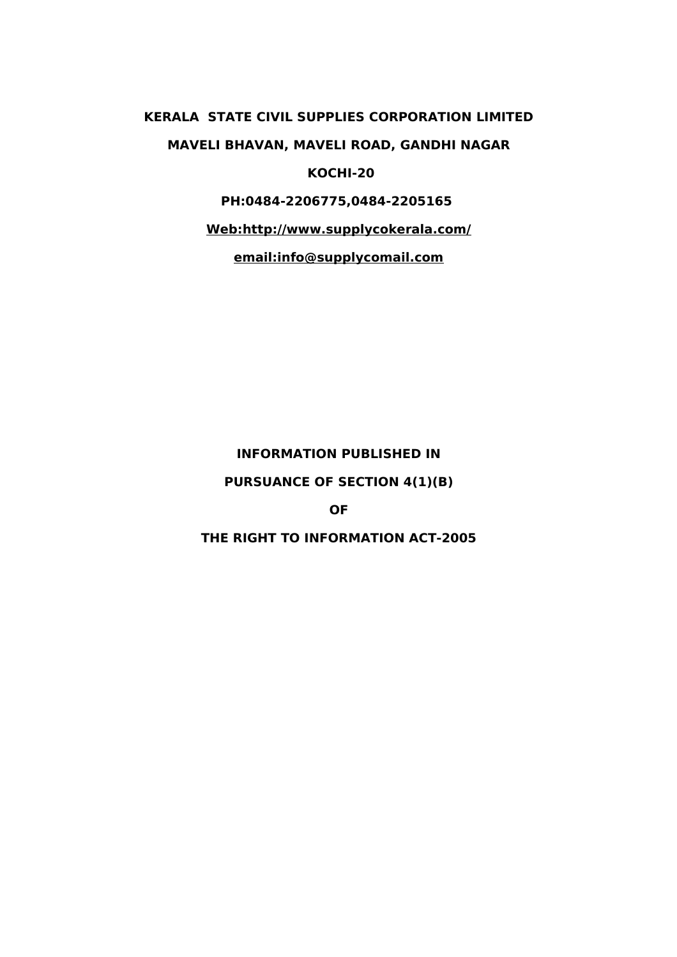# **KERALA STATE CIVIL SUPPLIES CORPORATION LIMITED MAVELI BHAVAN, MAVELI ROAD, GANDHI NAGAR KOCHI-20**

# **PH:0484-2206775,0484-2205165**

**Web:http://www.supplycokerala.com/**

**email:info@supplycomail.com**

### **INFORMATION PUBLISHED IN**

## **PURSUANCE OF SECTION 4(1)(B)**

#### **OF**

# **THE RIGHT TO INFORMATION ACT-2005**